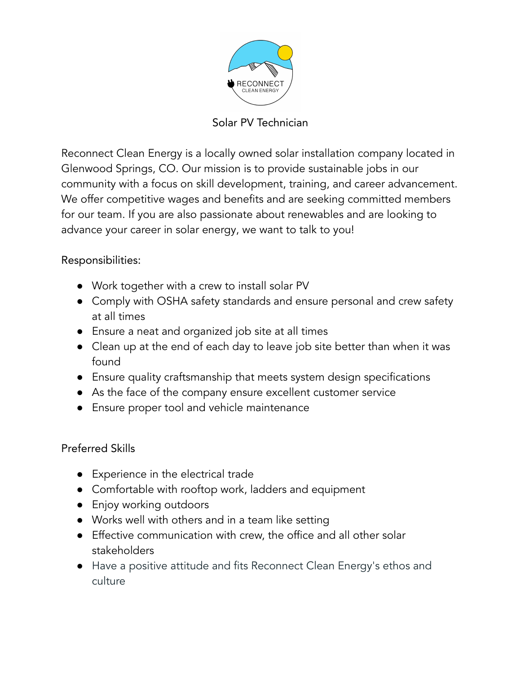

Solar PV Technician

Reconnect Clean Energy is a locally owned solar installation company located in Glenwood Springs, CO. Our mission is to provide sustainable jobs in our community with a focus on skill development, training, and career advancement. We offer competitive wages and benefits and are seeking committed members for our team. If you are also passionate about renewables and are looking to advance your career in solar energy, we want to talk to you!

Responsibilities:

- Work together with a crew to install solar PV
- Comply with OSHA safety standards and ensure personal and crew safety at all times
- Ensure a neat and organized job site at all times
- Clean up at the end of each day to leave job site better than when it was found
- Ensure quality craftsmanship that meets system design specifications
- As the face of the company ensure excellent customer service
- Ensure proper tool and vehicle maintenance

Preferred Skills

- Experience in the electrical trade
- Comfortable with rooftop work, ladders and equipment
- Enjoy working outdoors
- Works well with others and in a team like setting
- Effective communication with crew, the office and all other solar stakeholders
- Have a positive attitude and fits Reconnect Clean Energy's ethos and culture